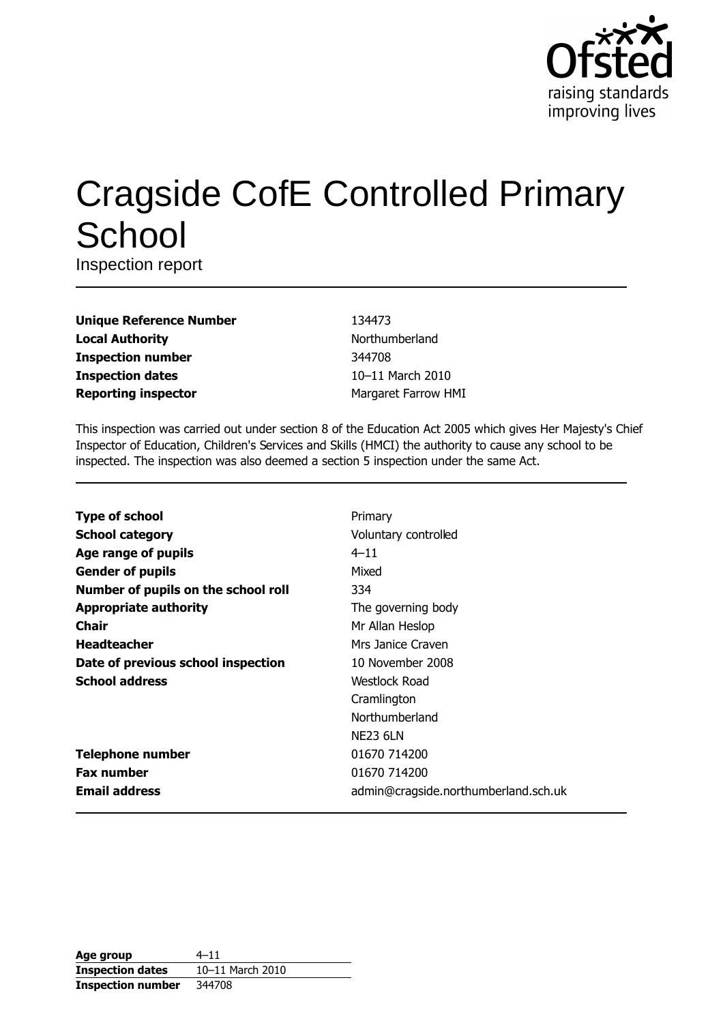

# **Cragside CofE Controlled Primary** School

Inspection report

| <b>Unique Reference Number</b> |
|--------------------------------|
| <b>Local Authority</b>         |
| <b>Inspection number</b>       |
| <b>Inspection dates</b>        |
| <b>Reporting inspector</b>     |

134473 Northumberland 344708 10-11 March 2010 Margaret Farrow HMI

This inspection was carried out under section 8 of the Education Act 2005 which gives Her Majesty's Chief Inspector of Education, Children's Services and Skills (HMCI) the authority to cause any school to be inspected. The inspection was also deemed a section 5 inspection under the same Act.

| <b>Type of school</b>               | Primary                              |
|-------------------------------------|--------------------------------------|
| <b>School category</b>              | Voluntary controlled                 |
| Age range of pupils                 | $4 - 11$                             |
| <b>Gender of pupils</b>             | Mixed                                |
| Number of pupils on the school roll | 334                                  |
| <b>Appropriate authority</b>        | The governing body                   |
| <b>Chair</b>                        | Mr Allan Heslop                      |
| <b>Headteacher</b>                  | Mrs Janice Craven                    |
| Date of previous school inspection  | 10 November 2008                     |
| <b>School address</b>               | Westlock Road                        |
|                                     | Cramlington                          |
|                                     | Northumberland                       |
|                                     | <b>NE23 6LN</b>                      |
| <b>Telephone number</b>             | 01670 714200                         |
| <b>Fax number</b>                   | 01670 714200                         |
| <b>Email address</b>                | admin@cragside.northumberland.sch.uk |

| Age group                | $4 - 11$         |
|--------------------------|------------------|
| <b>Inspection dates</b>  | 10-11 March 2010 |
| <b>Inspection number</b> | 344708           |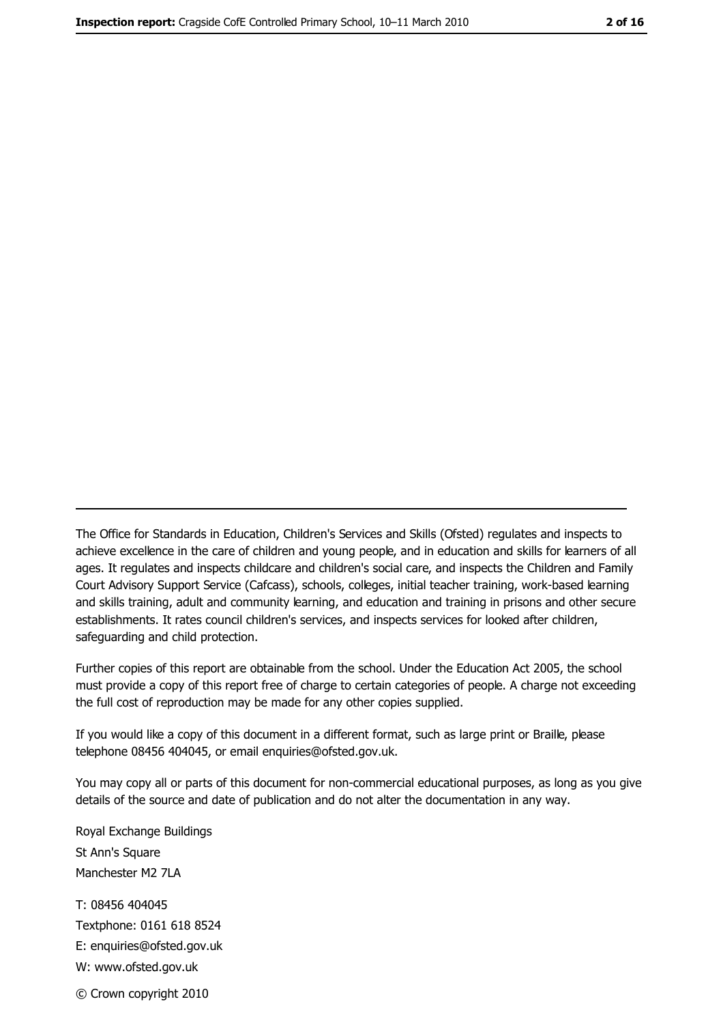The Office for Standards in Education, Children's Services and Skills (Ofsted) regulates and inspects to achieve excellence in the care of children and young people, and in education and skills for learners of all ages. It regulates and inspects childcare and children's social care, and inspects the Children and Family Court Advisory Support Service (Cafcass), schools, colleges, initial teacher training, work-based learning and skills training, adult and community learning, and education and training in prisons and other secure establishments. It rates council children's services, and inspects services for looked after children, safequarding and child protection.

Further copies of this report are obtainable from the school. Under the Education Act 2005, the school must provide a copy of this report free of charge to certain categories of people. A charge not exceeding the full cost of reproduction may be made for any other copies supplied.

If you would like a copy of this document in a different format, such as large print or Braille, please telephone 08456 404045, or email enquiries@ofsted.gov.uk.

You may copy all or parts of this document for non-commercial educational purposes, as long as you give details of the source and date of publication and do not alter the documentation in any way.

Royal Exchange Buildings St Ann's Square Manchester M2 7LA T: 08456 404045 Textphone: 0161 618 8524 E: enquiries@ofsted.gov.uk W: www.ofsted.gov.uk © Crown copyright 2010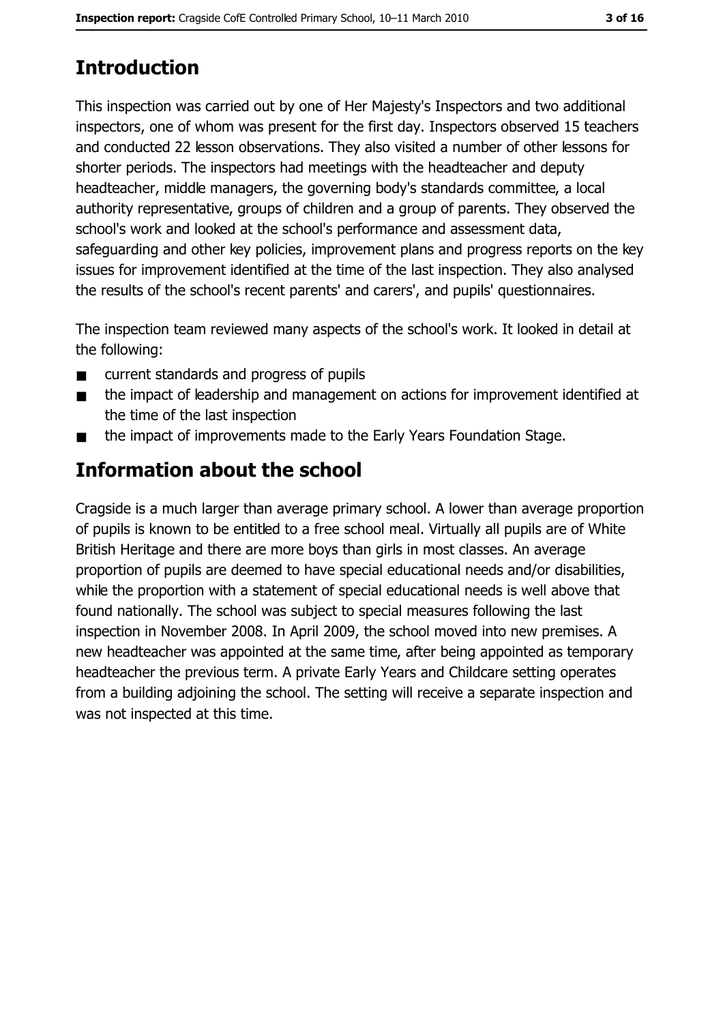# **Introduction**

This inspection was carried out by one of Her Majesty's Inspectors and two additional inspectors, one of whom was present for the first day. Inspectors observed 15 teachers and conducted 22 lesson observations. They also visited a number of other lessons for shorter periods. The inspectors had meetings with the headteacher and deputy headteacher, middle managers, the governing body's standards committee, a local authority representative, groups of children and a group of parents. They observed the school's work and looked at the school's performance and assessment data, safeguarding and other key policies, improvement plans and progress reports on the key issues for improvement identified at the time of the last inspection. They also analysed the results of the school's recent parents' and carers', and pupils' questionnaires.

The inspection team reviewed many aspects of the school's work. It looked in detail at the following:

- current standards and progress of pupils  $\blacksquare$
- the impact of leadership and management on actions for improvement identified at  $\blacksquare$ the time of the last inspection
- the impact of improvements made to the Early Years Foundation Stage.  $\blacksquare$

# Information about the school

Cragside is a much larger than average primary school. A lower than average proportion of pupils is known to be entitled to a free school meal. Virtually all pupils are of White British Heritage and there are more boys than girls in most classes. An average proportion of pupils are deemed to have special educational needs and/or disabilities, while the proportion with a statement of special educational needs is well above that found nationally. The school was subject to special measures following the last inspection in November 2008. In April 2009, the school moved into new premises. A new headteacher was appointed at the same time, after being appointed as temporary headteacher the previous term. A private Early Years and Childcare setting operates from a building adjoining the school. The setting will receive a separate inspection and was not inspected at this time.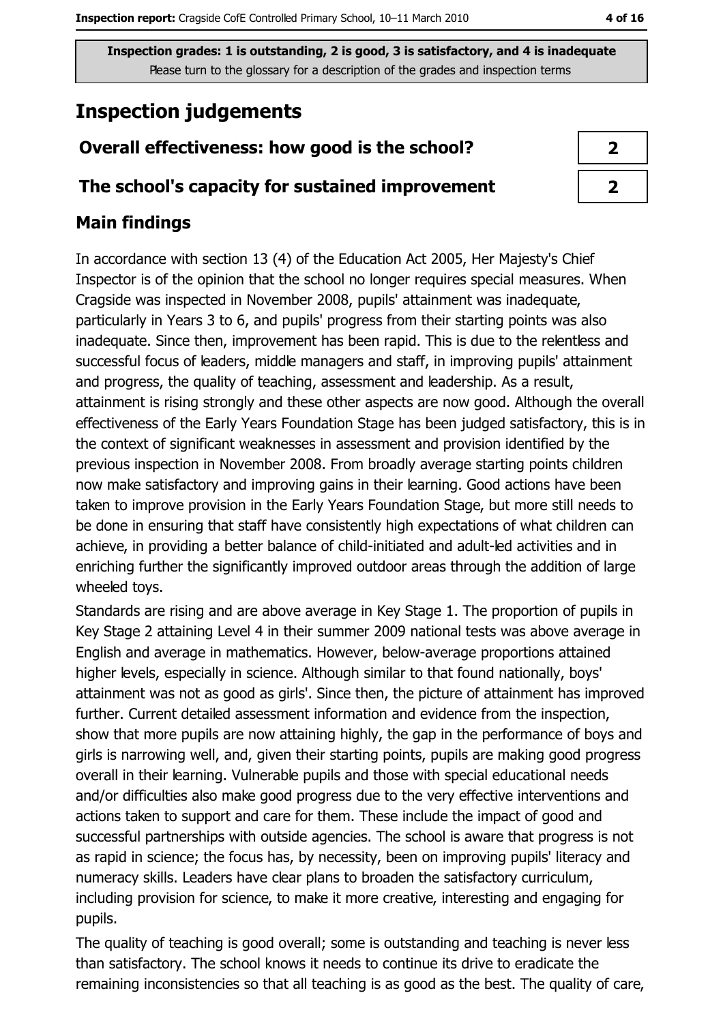## **Inspection judgements**

## Overall effectiveness: how good is the school?

#### The school's capacity for sustained improvement

## **Main findings**

In accordance with section 13 (4) of the Education Act 2005, Her Majesty's Chief Inspector is of the opinion that the school no longer requires special measures. When Cragside was inspected in November 2008, pupils' attainment was inadequate, particularly in Years 3 to 6, and pupils' progress from their starting points was also inadequate. Since then, improvement has been rapid. This is due to the relentless and successful focus of leaders, middle managers and staff, in improving pupils' attainment and progress, the quality of teaching, assessment and leadership. As a result, attainment is rising strongly and these other aspects are now good. Although the overall effectiveness of the Early Years Foundation Stage has been judged satisfactory, this is in the context of significant weaknesses in assessment and provision identified by the previous inspection in November 2008. From broadly average starting points children now make satisfactory and improving gains in their learning. Good actions have been taken to improve provision in the Early Years Foundation Stage, but more still needs to be done in ensuring that staff have consistently high expectations of what children can achieve, in providing a better balance of child-initiated and adult-led activities and in enriching further the significantly improved outdoor areas through the addition of large wheeled toys.

Standards are rising and are above average in Key Stage 1. The proportion of pupils in Key Stage 2 attaining Level 4 in their summer 2009 national tests was above average in English and average in mathematics. However, below-average proportions attained higher levels, especially in science. Although similar to that found nationally, boys' attainment was not as good as girls'. Since then, the picture of attainment has improved further. Current detailed assessment information and evidence from the inspection, show that more pupils are now attaining highly, the gap in the performance of boys and girls is narrowing well, and, given their starting points, pupils are making good progress overall in their learning. Vulnerable pupils and those with special educational needs and/or difficulties also make good progress due to the very effective interventions and actions taken to support and care for them. These include the impact of good and successful partnerships with outside agencies. The school is aware that progress is not as rapid in science; the focus has, by necessity, been on improving pupils' literacy and numeracy skills. Leaders have clear plans to broaden the satisfactory curriculum, including provision for science, to make it more creative, interesting and engaging for pupils.

The quality of teaching is good overall; some is outstanding and teaching is never less than satisfactory. The school knows it needs to continue its drive to eradicate the remaining inconsistencies so that all teaching is as good as the best. The quality of care,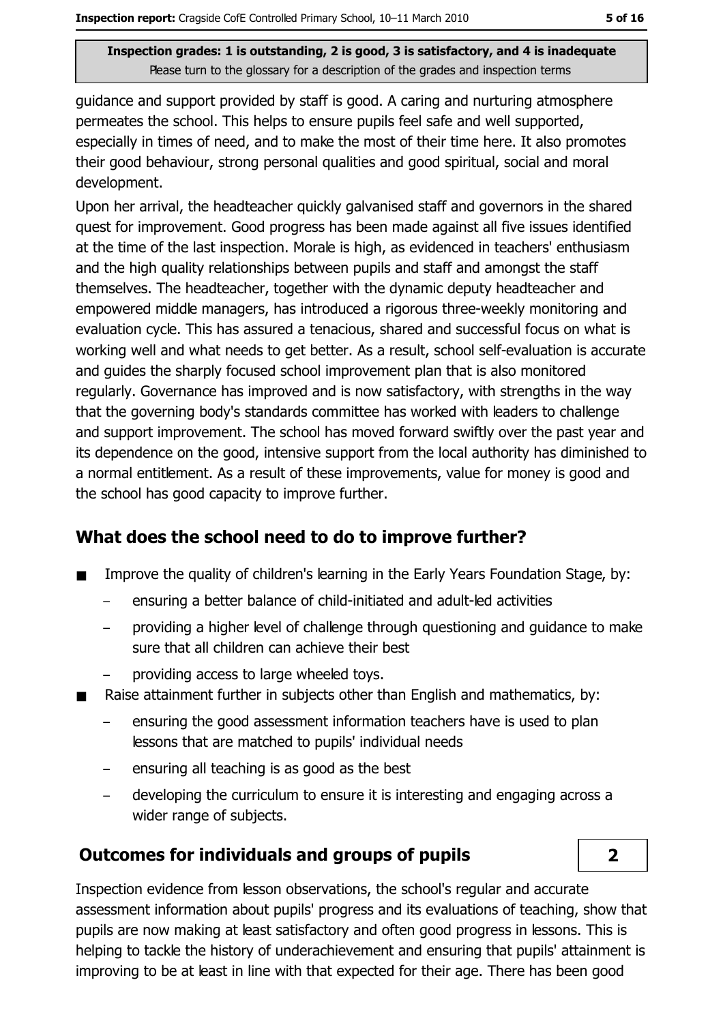quidance and support provided by staff is good. A caring and nurturing atmosphere permeates the school. This helps to ensure pupils feel safe and well supported, especially in times of need, and to make the most of their time here. It also promotes their good behaviour, strong personal qualities and good spiritual, social and moral development.

Upon her arrival, the headteacher quickly galvanised staff and governors in the shared quest for improvement. Good progress has been made against all five issues identified at the time of the last inspection. Morale is high, as evidenced in teachers' enthusiasm and the high quality relationships between pupils and staff and amongst the staff themselves. The headteacher, together with the dynamic deputy headteacher and empowered middle managers, has introduced a rigorous three-weekly monitoring and evaluation cycle. This has assured a tenacious, shared and successful focus on what is working well and what needs to get better. As a result, school self-evaluation is accurate and quides the sharply focused school improvement plan that is also monitored regularly. Governance has improved and is now satisfactory, with strengths in the way that the governing body's standards committee has worked with leaders to challenge and support improvement. The school has moved forward swiftly over the past year and its dependence on the good, intensive support from the local authority has diminished to a normal entitlement. As a result of these improvements, value for money is good and the school has good capacity to improve further.

## What does the school need to do to improve further?

- Improve the quality of children's learning in the Early Years Foundation Stage, by:  $\blacksquare$ 
	- ensuring a better balance of child-initiated and adult-led activities
	- providing a higher level of challenge through questioning and quidance to make sure that all children can achieve their best
	- providing access to large wheeled toys.
- Raise attainment further in subjects other than English and mathematics, by:  $\blacksquare$ 
	- ensuring the good assessment information teachers have is used to plan lessons that are matched to pupils' individual needs
	- ensuring all teaching is as good as the best
	- developing the curriculum to ensure it is interesting and engaging across a wider range of subjects.

## **Outcomes for individuals and groups of pupils**



Inspection evidence from lesson observations, the school's regular and accurate assessment information about pupils' progress and its evaluations of teaching, show that pupils are now making at least satisfactory and often good progress in lessons. This is helping to tackle the history of underachievement and ensuring that pupils' attainment is improving to be at least in line with that expected for their age. There has been good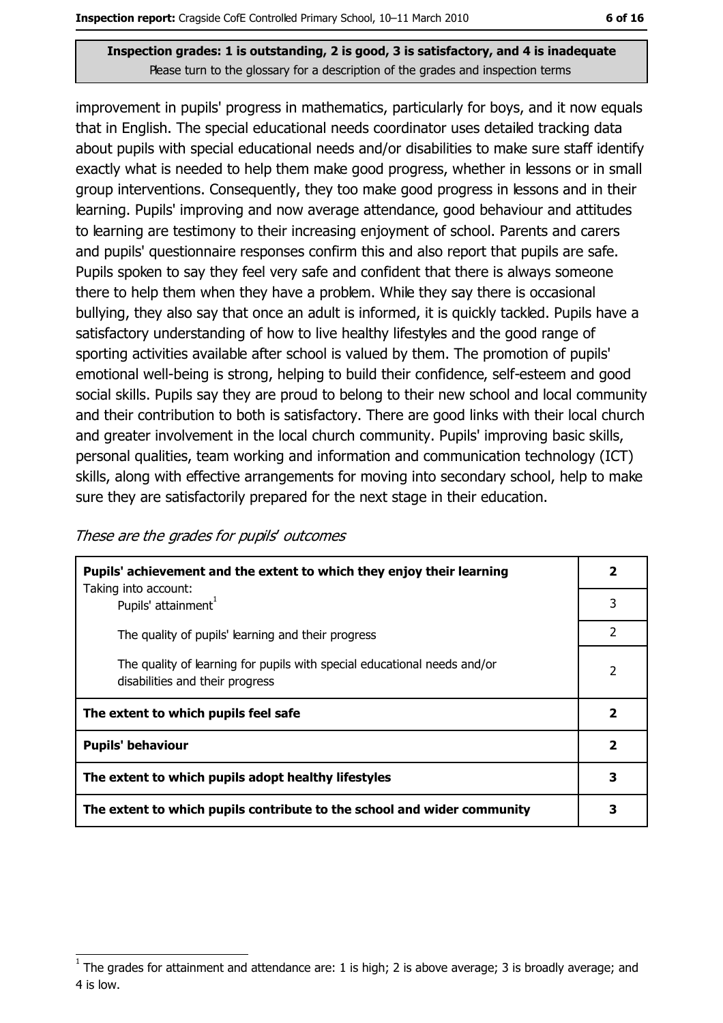improvement in pupils' progress in mathematics, particularly for boys, and it now equals that in English. The special educational needs coordinator uses detailed tracking data about pupils with special educational needs and/or disabilities to make sure staff identify exactly what is needed to help them make good progress, whether in lessons or in small group interventions. Consequently, they too make good progress in lessons and in their learning. Pupils' improving and now average attendance, good behaviour and attitudes to learning are testimony to their increasing enjoyment of school. Parents and carers and pupils' questionnaire responses confirm this and also report that pupils are safe. Pupils spoken to say they feel very safe and confident that there is always someone there to help them when they have a problem. While they say there is occasional bullying, they also say that once an adult is informed, it is quickly tackled. Pupils have a satisfactory understanding of how to live healthy lifestyles and the good range of sporting activities available after school is valued by them. The promotion of pupils' emotional well-being is strong, helping to build their confidence, self-esteem and good social skills. Pupils say they are proud to belong to their new school and local community and their contribution to both is satisfactory. There are good links with their local church and greater involvement in the local church community. Pupils' improving basic skills, personal qualities, team working and information and communication technology (ICT) skills, along with effective arrangements for moving into secondary school, help to make sure they are satisfactorily prepared for the next stage in their education.

| These are the grades for pupils' outcomes |  |  |
|-------------------------------------------|--|--|
|-------------------------------------------|--|--|

| Pupils' achievement and the extent to which they enjoy their learning                                       |                         |
|-------------------------------------------------------------------------------------------------------------|-------------------------|
| Taking into account:<br>Pupils' attainment <sup>1</sup>                                                     | 3                       |
| The quality of pupils' learning and their progress                                                          | 2                       |
| The quality of learning for pupils with special educational needs and/or<br>disabilities and their progress | 2                       |
| The extent to which pupils feel safe                                                                        |                         |
| <b>Pupils' behaviour</b>                                                                                    | $\overline{\mathbf{2}}$ |
| The extent to which pupils adopt healthy lifestyles                                                         | 3                       |
| The extent to which pupils contribute to the school and wider community                                     |                         |

The grades for attainment and attendance are: 1 is high; 2 is above average; 3 is broadly average; and 4 is low.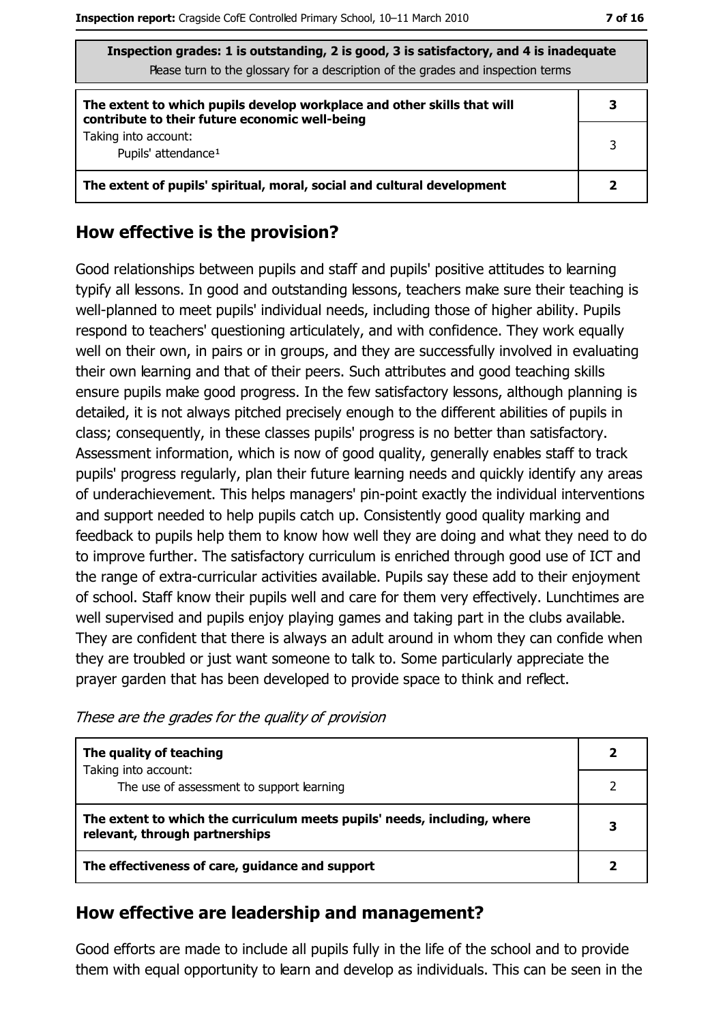| Inspection grades: 1 is outstanding, 2 is good, 3 is satisfactory, and 4 is inadequate<br>Please turn to the glossary for a description of the grades and inspection terms |   |
|----------------------------------------------------------------------------------------------------------------------------------------------------------------------------|---|
| The extent to which pupils develop workplace and other skills that will<br>contribute to their future economic well-being                                                  |   |
| Taking into account:<br>Pupils' attendance <sup>1</sup>                                                                                                                    | 3 |
| The extent of pupils' spiritual, moral, social and cultural development                                                                                                    |   |

## How effective is the provision?

Good relationships between pupils and staff and pupils' positive attitudes to learning typify all lessons. In good and outstanding lessons, teachers make sure their teaching is well-planned to meet pupils' individual needs, including those of higher ability. Pupils respond to teachers' questioning articulately, and with confidence. They work equally well on their own, in pairs or in groups, and they are successfully involved in evaluating their own learning and that of their peers. Such attributes and good teaching skills ensure pupils make good progress. In the few satisfactory lessons, although planning is detailed, it is not always pitched precisely enough to the different abilities of pupils in class; consequently, in these classes pupils' progress is no better than satisfactory. Assessment information, which is now of good quality, generally enables staff to track pupils' progress regularly, plan their future learning needs and quickly identify any areas of underachievement. This helps managers' pin-point exactly the individual interventions and support needed to help pupils catch up. Consistently good quality marking and feedback to pupils help them to know how well they are doing and what they need to do to improve further. The satisfactory curriculum is enriched through good use of ICT and the range of extra-curricular activities available. Pupils say these add to their enjoyment of school. Staff know their pupils well and care for them very effectively. Lunchtimes are well supervised and pupils enjoy playing games and taking part in the clubs available. They are confident that there is always an adult around in whom they can confide when they are troubled or just want someone to talk to. Some particularly appreciate the prayer garden that has been developed to provide space to think and reflect.

| The quality of teaching                                                                                    |  |
|------------------------------------------------------------------------------------------------------------|--|
| Taking into account:<br>The use of assessment to support learning                                          |  |
| The extent to which the curriculum meets pupils' needs, including, where<br>relevant, through partnerships |  |
| The effectiveness of care, guidance and support                                                            |  |

These are the grades for the quality of provision

### How effective are leadership and management?

Good efforts are made to include all pupils fully in the life of the school and to provide them with equal opportunity to learn and develop as individuals. This can be seen in the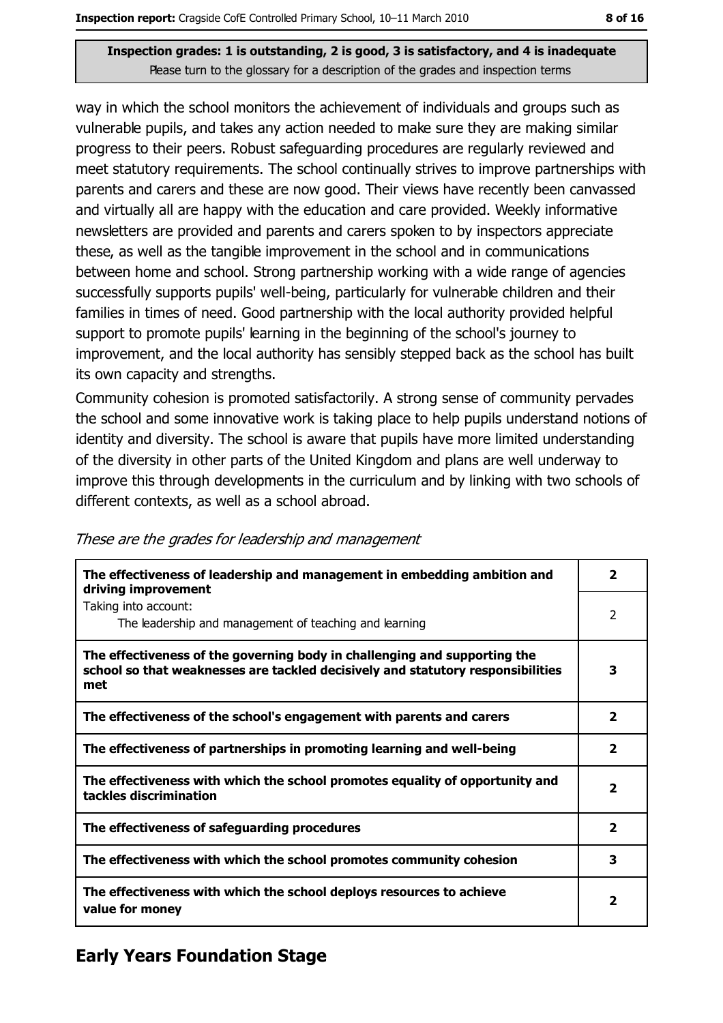way in which the school monitors the achievement of individuals and groups such as vulnerable pupils, and takes any action needed to make sure they are making similar progress to their peers. Robust safeguarding procedures are regularly reviewed and meet statutory requirements. The school continually strives to improve partnerships with parents and carers and these are now good. Their views have recently been canvassed and virtually all are happy with the education and care provided. Weekly informative newsletters are provided and parents and carers spoken to by inspectors appreciate these, as well as the tangible improvement in the school and in communications between home and school. Strong partnership working with a wide range of agencies successfully supports pupils' well-being, particularly for vulnerable children and their families in times of need. Good partnership with the local authority provided helpful support to promote pupils' learning in the beginning of the school's journey to improvement, and the local authority has sensibly stepped back as the school has built its own capacity and strengths.

Community cohesion is promoted satisfactorily. A strong sense of community pervades the school and some innovative work is taking place to help pupils understand notions of identity and diversity. The school is aware that pupils have more limited understanding of the diversity in other parts of the United Kingdom and plans are well underway to improve this through developments in the curriculum and by linking with two schools of different contexts, as well as a school abroad.

| The effectiveness of leadership and management in embedding ambition and<br>driving improvement                                                                     | $\overline{\mathbf{2}}$ |
|---------------------------------------------------------------------------------------------------------------------------------------------------------------------|-------------------------|
| Taking into account:<br>The leadership and management of teaching and learning                                                                                      | 2                       |
| The effectiveness of the governing body in challenging and supporting the<br>school so that weaknesses are tackled decisively and statutory responsibilities<br>met | 3                       |
| The effectiveness of the school's engagement with parents and carers                                                                                                | 2                       |
| The effectiveness of partnerships in promoting learning and well-being                                                                                              | $\overline{\mathbf{2}}$ |
| The effectiveness with which the school promotes equality of opportunity and<br>tackles discrimination                                                              | $\overline{\mathbf{2}}$ |
| The effectiveness of safeguarding procedures                                                                                                                        | $\overline{\mathbf{2}}$ |
| The effectiveness with which the school promotes community cohesion                                                                                                 | 3                       |
| The effectiveness with which the school deploys resources to achieve<br>value for money                                                                             | 2                       |

These are the grades for leadership and management

## **Early Years Foundation Stage**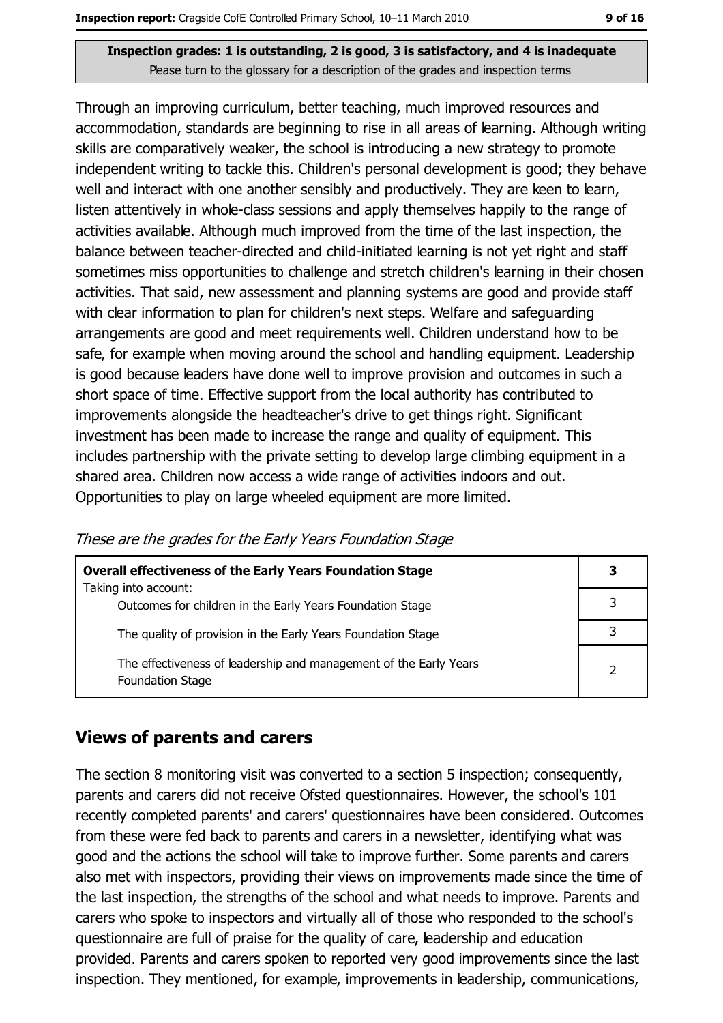Through an improving curriculum, better teaching, much improved resources and accommodation, standards are beginning to rise in all areas of learning. Although writing skills are comparatively weaker, the school is introducing a new strategy to promote independent writing to tackle this. Children's personal development is good; they behave well and interact with one another sensibly and productively. They are keen to learn, listen attentively in whole-class sessions and apply themselves happily to the range of activities available. Although much improved from the time of the last inspection, the balance between teacher-directed and child-initiated learning is not yet right and staff sometimes miss opportunities to challenge and stretch children's learning in their chosen activities. That said, new assessment and planning systems are good and provide staff with clear information to plan for children's next steps. Welfare and safequarding arrangements are good and meet requirements well. Children understand how to be safe, for example when moving around the school and handling equipment. Leadership is good because leaders have done well to improve provision and outcomes in such a short space of time. Effective support from the local authority has contributed to improvements alongside the headteacher's drive to get things right. Significant investment has been made to increase the range and quality of equipment. This includes partnership with the private setting to develop large climbing equipment in a shared area. Children now access a wide range of activities indoors and out. Opportunities to play on large wheeled equipment are more limited.

These are the grades for the Early Years Foundation Stage

| <b>Overall effectiveness of the Early Years Foundation Stage</b>                      | 3 |
|---------------------------------------------------------------------------------------|---|
| Taking into account:<br>Outcomes for children in the Early Years Foundation Stage     |   |
| The quality of provision in the Early Years Foundation Stage                          |   |
| The effectiveness of leadership and management of the Early Years<br>Foundation Stage |   |

#### **Views of parents and carers**

The section 8 monitoring visit was converted to a section 5 inspection; consequently, parents and carers did not receive Ofsted questionnaires. However, the school's 101 recently completed parents' and carers' questionnaires have been considered. Outcomes from these were fed back to parents and carers in a newsletter, identifying what was good and the actions the school will take to improve further. Some parents and carers also met with inspectors, providing their views on improvements made since the time of the last inspection, the strengths of the school and what needs to improve. Parents and carers who spoke to inspectors and virtually all of those who responded to the school's questionnaire are full of praise for the quality of care, leadership and education provided. Parents and carers spoken to reported very good improvements since the last inspection. They mentioned, for example, improvements in leadership, communications,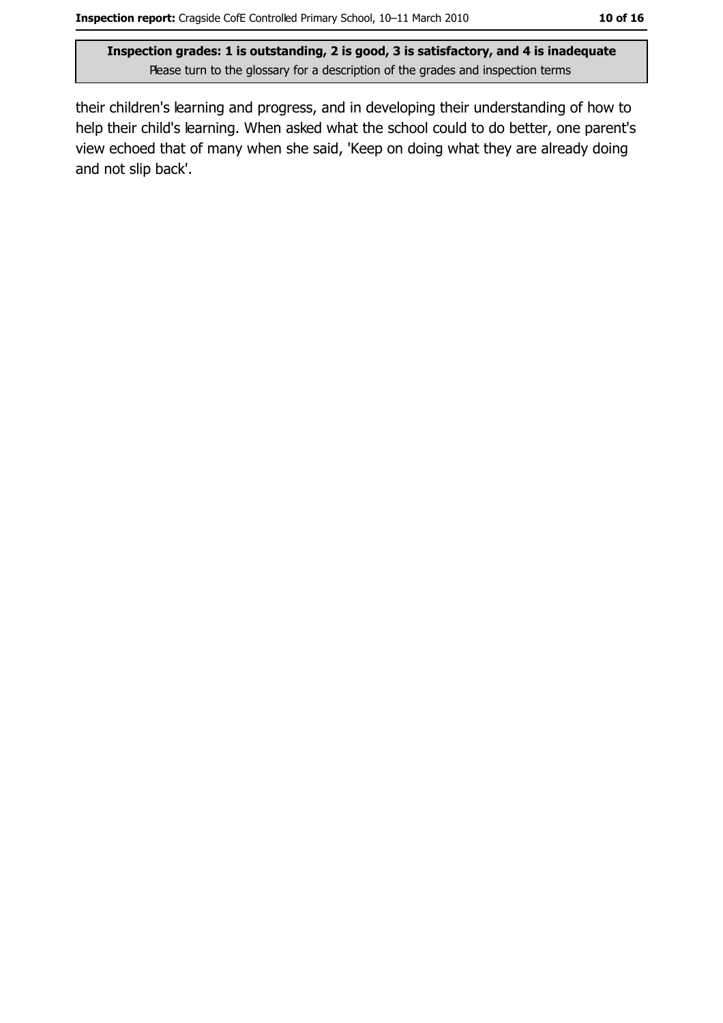their children's learning and progress, and in developing their understanding of how to help their child's learning. When asked what the school could to do better, one parent's view echoed that of many when she said, 'Keep on doing what they are already doing and not slip back'.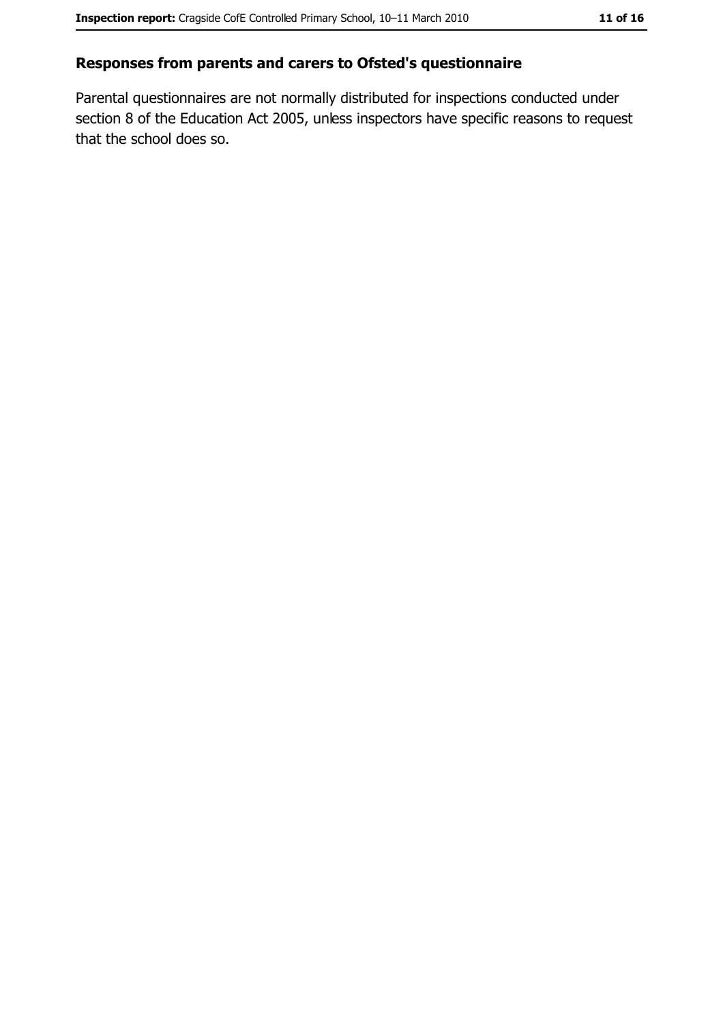## Responses from parents and carers to Ofsted's questionnaire

Parental questionnaires are not normally distributed for inspections conducted under section 8 of the Education Act 2005, unless inspectors have specific reasons to request that the school does so.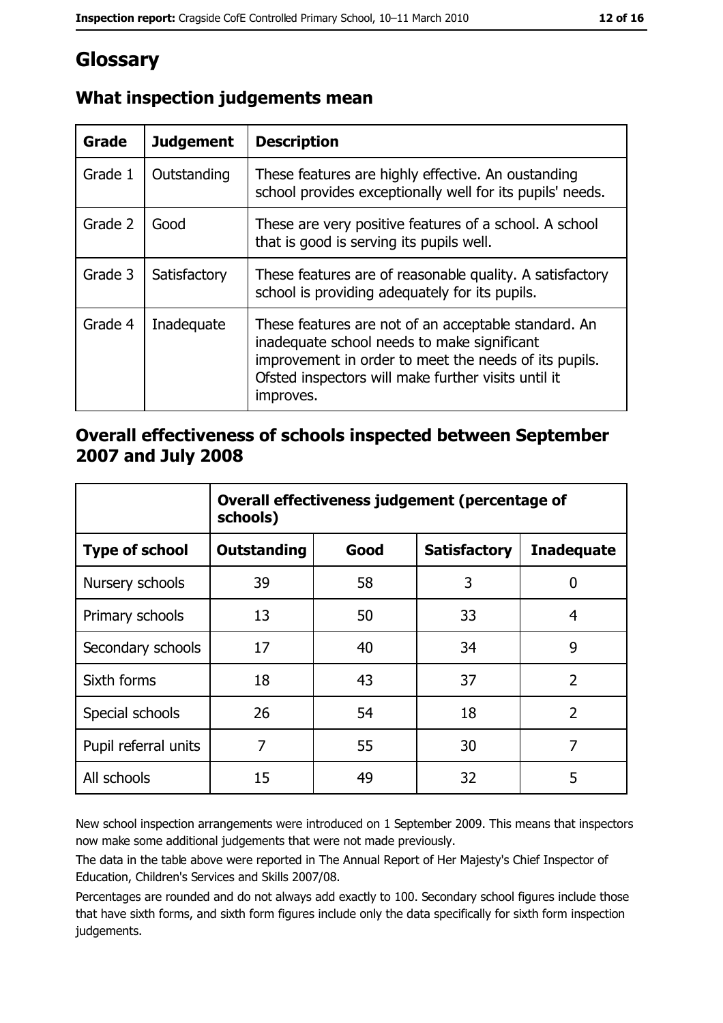# Glossary

| <b>Grade</b> | <b>Judgement</b> | <b>Description</b>                                                                                                                                                                                                               |
|--------------|------------------|----------------------------------------------------------------------------------------------------------------------------------------------------------------------------------------------------------------------------------|
| Grade 1      | Outstanding      | These features are highly effective. An oustanding<br>school provides exceptionally well for its pupils' needs.                                                                                                                  |
| Grade 2      | Good             | These are very positive features of a school. A school<br>that is good is serving its pupils well.                                                                                                                               |
| Grade 3      | Satisfactory     | These features are of reasonable quality. A satisfactory<br>school is providing adequately for its pupils.                                                                                                                       |
| Grade 4      | Inadequate       | These features are not of an acceptable standard. An<br>inadequate school needs to make significant<br>improvement in order to meet the needs of its pupils.<br>Ofsted inspectors will make further visits until it<br>improves. |

## What inspection judgements mean

## Overall effectiveness of schools inspected between September 2007 and July 2008

|                       | Overall effectiveness judgement (percentage of<br>schools) |      |                     |                   |
|-----------------------|------------------------------------------------------------|------|---------------------|-------------------|
| <b>Type of school</b> | <b>Outstanding</b>                                         | Good | <b>Satisfactory</b> | <b>Inadequate</b> |
| Nursery schools       | 39                                                         | 58   | 3                   | 0                 |
| Primary schools       | 13                                                         | 50   | 33                  | 4                 |
| Secondary schools     | 17                                                         | 40   | 34                  | 9                 |
| Sixth forms           | 18                                                         | 43   | 37                  | $\overline{2}$    |
| Special schools       | 26                                                         | 54   | 18                  | $\overline{2}$    |
| Pupil referral units  | 7                                                          | 55   | 30                  | 7                 |
| All schools           | 15                                                         | 49   | 32                  | 5                 |

New school inspection arrangements were introduced on 1 September 2009. This means that inspectors now make some additional judgements that were not made previously.

The data in the table above were reported in The Annual Report of Her Majesty's Chief Inspector of Education, Children's Services and Skills 2007/08.

Percentages are rounded and do not always add exactly to 100. Secondary school figures include those that have sixth forms, and sixth form figures include only the data specifically for sixth form inspection judgements.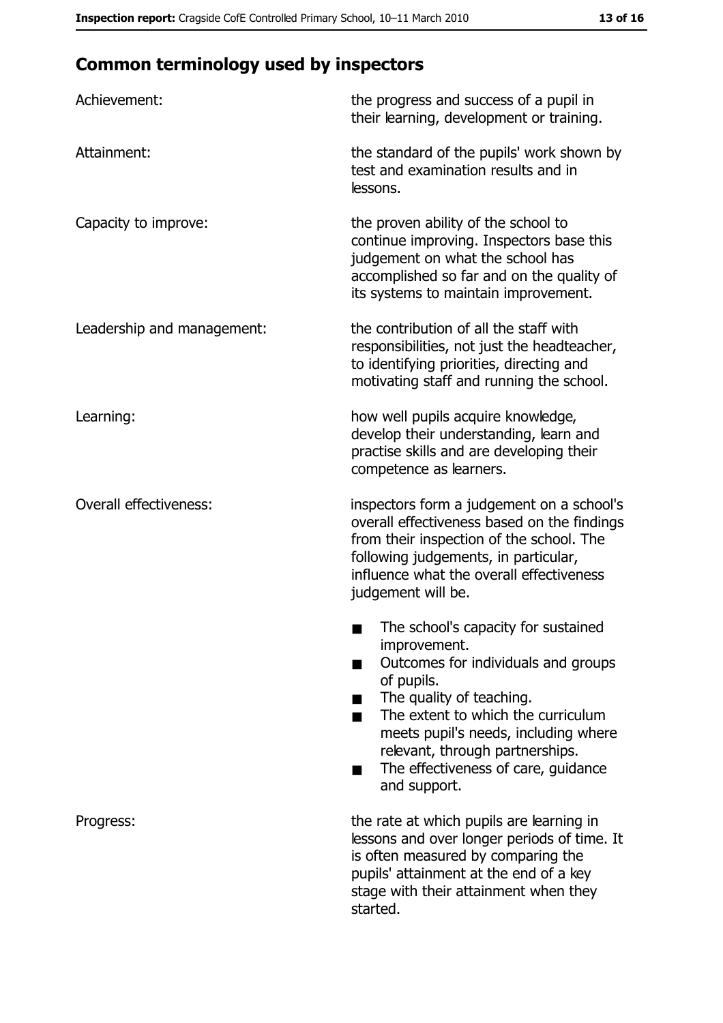# **Common terminology used by inspectors**

| Achievement:                  | the progress and success of a pupil in<br>their learning, development or training.                                                                                                                                                                                                                           |  |
|-------------------------------|--------------------------------------------------------------------------------------------------------------------------------------------------------------------------------------------------------------------------------------------------------------------------------------------------------------|--|
| Attainment:                   | the standard of the pupils' work shown by<br>test and examination results and in<br>lessons.                                                                                                                                                                                                                 |  |
| Capacity to improve:          | the proven ability of the school to<br>continue improving. Inspectors base this<br>judgement on what the school has<br>accomplished so far and on the quality of<br>its systems to maintain improvement.                                                                                                     |  |
| Leadership and management:    | the contribution of all the staff with<br>responsibilities, not just the headteacher,<br>to identifying priorities, directing and<br>motivating staff and running the school.                                                                                                                                |  |
| Learning:                     | how well pupils acquire knowledge,<br>develop their understanding, learn and<br>practise skills and are developing their<br>competence as learners.                                                                                                                                                          |  |
| <b>Overall effectiveness:</b> | inspectors form a judgement on a school's<br>overall effectiveness based on the findings<br>from their inspection of the school. The<br>following judgements, in particular,<br>influence what the overall effectiveness<br>judgement will be.                                                               |  |
|                               | The school's capacity for sustained<br>improvement.<br>Outcomes for individuals and groups<br>of pupils.<br>The quality of teaching.<br>The extent to which the curriculum<br>meets pupil's needs, including where<br>relevant, through partnerships.<br>The effectiveness of care, guidance<br>and support. |  |
| Progress:                     | the rate at which pupils are learning in<br>lessons and over longer periods of time. It<br>is often measured by comparing the<br>pupils' attainment at the end of a key<br>stage with their attainment when they<br>started.                                                                                 |  |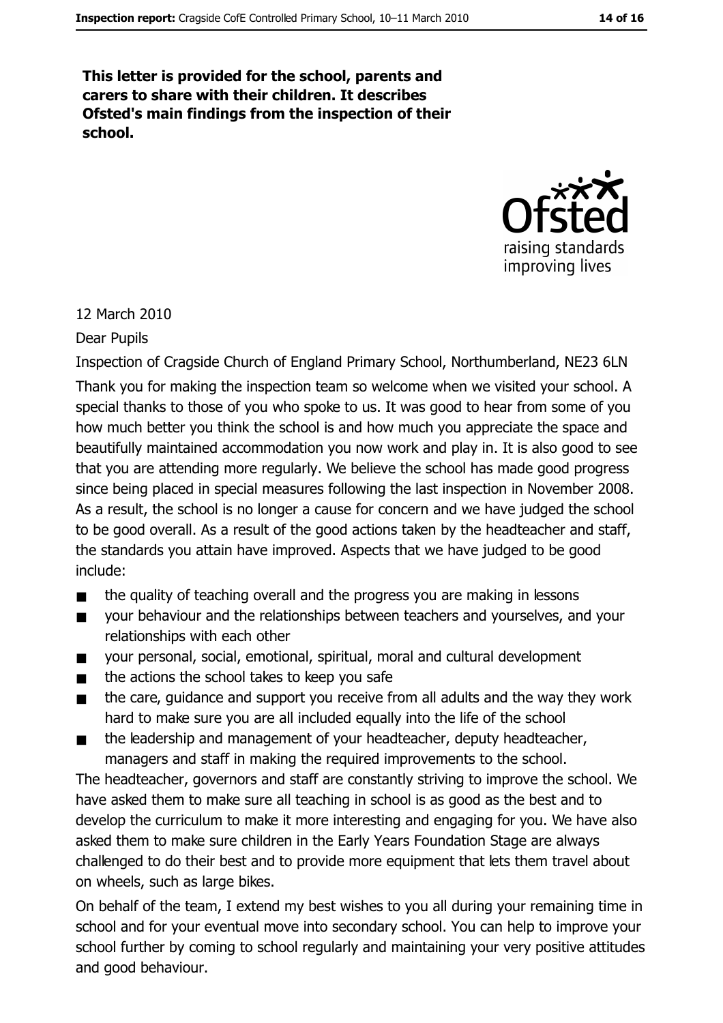This letter is provided for the school, parents and carers to share with their children. It describes Ofsted's main findings from the inspection of their school.



#### 12 March 2010

#### **Dear Pupils**

Inspection of Cragside Church of England Primary School, Northumberland, NE23 6LN Thank you for making the inspection team so welcome when we visited your school. A special thanks to those of you who spoke to us. It was good to hear from some of you how much better you think the school is and how much you appreciate the space and beautifully maintained accommodation you now work and play in. It is also good to see that you are attending more regularly. We believe the school has made good progress since being placed in special measures following the last inspection in November 2008. As a result, the school is no longer a cause for concern and we have judged the school to be good overall. As a result of the good actions taken by the headteacher and staff, the standards you attain have improved. Aspects that we have judged to be good include:

- the quality of teaching overall and the progress you are making in lessons  $\blacksquare$
- your behaviour and the relationships between teachers and yourselves, and your  $\blacksquare$ relationships with each other
- your personal, social, emotional, spiritual, moral and cultural development  $\blacksquare$
- the actions the school takes to keep you safe  $\blacksquare$
- the care, quidance and support you receive from all adults and the way they work  $\blacksquare$ hard to make sure you are all included equally into the life of the school
- the leadership and management of your headteacher, deputy headteacher,  $\blacksquare$ managers and staff in making the required improvements to the school.

The headteacher, governors and staff are constantly striving to improve the school. We have asked them to make sure all teaching in school is as good as the best and to develop the curriculum to make it more interesting and engaging for you. We have also asked them to make sure children in the Early Years Foundation Stage are always challenged to do their best and to provide more equipment that lets them travel about on wheels, such as large bikes.

On behalf of the team, I extend my best wishes to you all during your remaining time in school and for your eventual move into secondary school. You can help to improve your school further by coming to school regularly and maintaining your very positive attitudes and good behaviour.